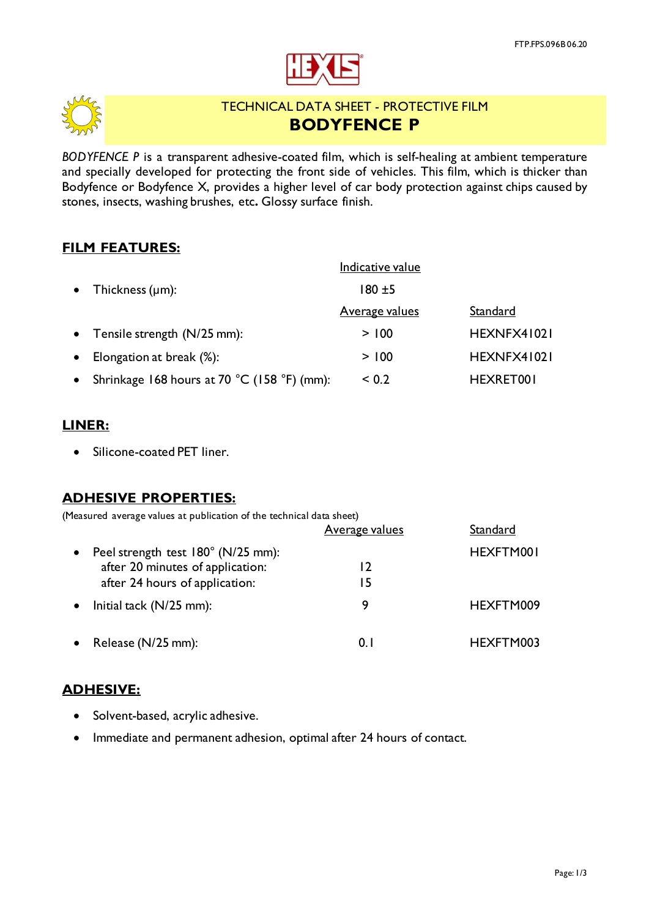



# TECHNICAL DATA SHEET - PROTECTIVE FILM **BODYFENCE P**

*BODYFENCE P* is a transparent adhesive-coated film, which is self-healing at ambient temperature and specially developed for protecting the front side of vehicles. This film, which is thicker than Bodyfence or Bodyfence X, provides a higher level of car body protection against chips caused by stones, insects, washing brushes, etc**.** Glossy surface finish.

## **FILM FEATURES:**

|           |                                             | Indicative value      |             |
|-----------|---------------------------------------------|-----------------------|-------------|
| $\bullet$ | Thickness $(\mu m)$ :                       | $180 + 5$             |             |
|           |                                             | <u>Average values</u> | Standard    |
| $\bullet$ | Tensile strength (N/25 mm):                 | > 100                 | HEXNFX41021 |
| $\bullet$ | Elongation at break (%):                    | > 100                 | HEXNFX41021 |
|           | Shrinkage 168 hours at 70 °C (158 °F) (mm): | ${}_{0.2}$            | HEXRET001   |

## **LINER:**

• Silicone-coated PET liner.

## **ADHESIVE PROPERTIES:**

| (Measured average values at publication of the technical data sheet)                                     |                       |           |
|----------------------------------------------------------------------------------------------------------|-----------------------|-----------|
|                                                                                                          | <u>Average values</u> | Standard  |
| Peel strength test 180° (N/25 mm):<br>after 20 minutes of application:<br>after 24 hours of application: | 12<br>15              | HEXFTM001 |
| Initial tack $(N/25$ mm):                                                                                | 9                     | HEXFTM009 |
| Release (N/25 mm):                                                                                       | 0.1                   | HEXFTM003 |

## **ADHESIVE:**

- Solvent-based, acrylic adhesive.
- Immediate and permanent adhesion, optimal after 24 hours of contact.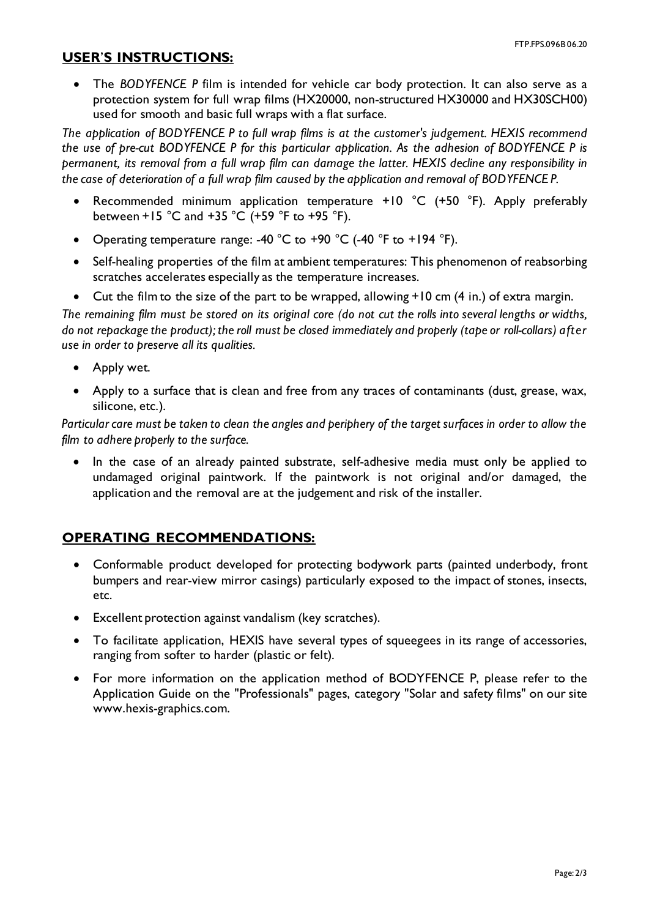#### **USER**'**S INSTRUCTIONS:**

• The *BODYFENCE P* film is intended for vehicle car body protection. It can also serve as a protection system for full wrap films (HX20000, non-structured HX30000 and HX30SCH00) used for smooth and basic full wraps with a flat surface.

*The application of BODYFENCE P to full wrap films is at the customer's judgement. HEXIS recommend the use of pre-cut BODYFENCE P for this particular application. As the adhesion of BODYFENCE P is permanent, its removal from a full wrap film can damage the latter. HEXIS decline any responsibility in the case of deterioration of a full wrap film caused by the application and removal of BODYFENCE P.*

- Recommended minimum application temperature +10 °C (+50 °F). Apply preferably between +15  $^{\circ}$ C and +35  $^{\circ}$ C (+59  $^{\circ}$ F to +95  $^{\circ}$ F).
- Operating temperature range: -40 °C to +90 °C (-40 °F to +194 °F).
- Self-healing properties of the film at ambient temperatures: This phenomenon of reabsorbing scratches accelerates especially as the temperature increases.
- Cut the film to the size of the part to be wrapped, allowing +10 cm (4 in.) of extra margin.

*The remaining film must be stored on its original core (do not cut the rolls into several lengths or widths, do not repackage the product); the roll must be closed immediately and properly (tape or roll-collars) after use in order to preserve all its qualities.*

- Apply wet.
- Apply to a surface that is clean and free from any traces of contaminants (dust, grease, wax, silicone, etc.).

*Particular care must be taken to clean the angles and periphery of the target surfaces in order to allow the film to adhere properly to the surface.*

• In the case of an already painted substrate, self-adhesive media must only be applied to undamaged original paintwork. If the paintwork is not original and/or damaged, the application and the removal are at the judgement and risk of the installer.

## **OPERATING RECOMMENDATIONS:**

- Conformable product developed for protecting bodywork parts (painted underbody, front bumpers and rear-view mirror casings) particularly exposed to the impact of stones, insects, etc.
- Excellent protection against vandalism (key scratches).
- To facilitate application, HEXIS have several types of squeegees in its range of accessories, ranging from softer to harder (plastic or felt).
- For more information on the application method of BODYFENCE P, please refer to the Application Guide on the "Professionals" pages, category "Solar and safety films" on our site www.hexis-graphics.com.